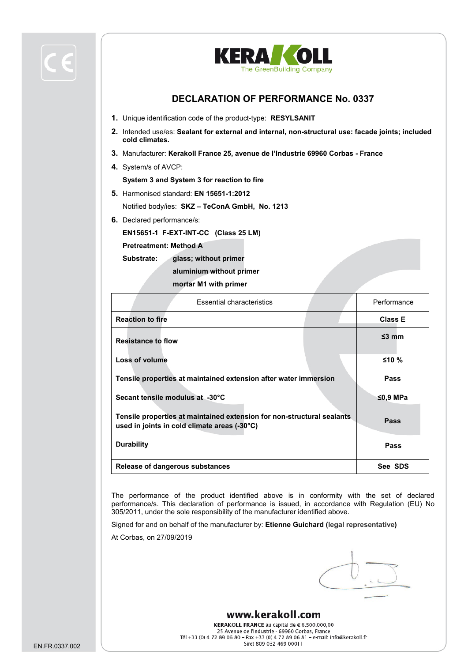

- **1.** Unique identification code of the product-type: **RESYLSANIT**
- **2.** Intended use/es: **Sealant for external and internal, non-structural use: facade joints; included cold climates.**
- **3.** Manufacturer: **Kerakoll France 25, avenue de l'Industrie 69960 Corbas - France**
- **4.** System/s of AVCP:

**System 3 and System 3 for reaction to fire**

- **5.** Harmonised standard: **EN 15651-1:2012** Notified body/ies: **SKZ – TeConA GmbH, No. 1213**
- **6.** Declared performance/s:

**EN15651-1 F-EXT-INT-CC (Class 25 LM)**

**Pretreatment: Method A** 

**Substrate: glass; without primer**

**aluminium without primer**

**mortar M1 with primer**

| <b>Essential characteristics</b>                                                                                       | Performance    |
|------------------------------------------------------------------------------------------------------------------------|----------------|
| <b>Reaction to fire</b>                                                                                                | <b>Class E</b> |
| <b>Resistance to flow</b>                                                                                              | $\leq$ 3 mm    |
| Loss of volume                                                                                                         | $≤10%$         |
| Tensile properties at maintained extension after water immersion                                                       | Pass           |
| Secant tensile modulus at -30°C                                                                                        | ≤0,9 MPa       |
| Tensile properties at maintained extension for non-structural sealants<br>used in joints in cold climate areas (-30°C) | Pass           |
| <b>Durability</b>                                                                                                      | Pass           |
| Release of dangerous substances                                                                                        | See SDS        |

The performance of the product identified above is in conformity with the set of declared performance/s. This declaration of performance is issued, in accordance with Regulation (EU) No 305/2011, under the sole responsibility of the manufacturer identified above.

Signed for and on behalf of the manufacturer by: **Etienne Guichard (legal representative)**

At Corbas, on 27/09/2019

# www.kerakoll.com

KERAKOLL FRANCE au capital de € 6.500.000,00 25 Avenue de l'Industrie - 69960 Corbas, France Tél +33 (0) 4 72 89 06 80 - Fax +33 (0) 4 72 89 06 81 - e-mail: info@kerakoll.fr Siret 809 032 469 00011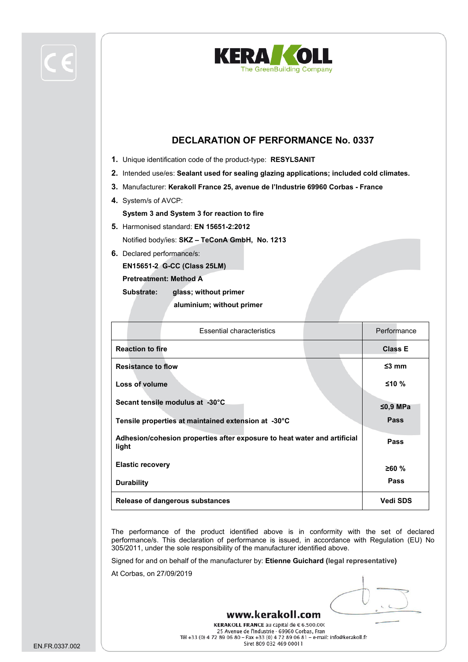



- **1.** Unique identification code of the product-type: **RESYLSANIT**
- **2.** Intended use/es: **Sealant used for sealing glazing applications; included cold climates.**
- **3.** Manufacturer: **Kerakoll France 25, avenue de l'Industrie 69960 Corbas - France**
- **4.** System/s of AVCP: **System 3 and System 3 for reaction to fire**
- **5.** Harmonised standard: **EN 15651-2:2012** Notified body/ies: **SKZ – TeConA GmbH, No. 1213**
- **6.** Declared performance/s:

**EN15651-2 G-CC (Class 25LM)**

**Pretreatment: Method A** 

**Substrate: glass; without primer**

 **aluminium; without primer**

| <b>Essential characteristics</b>                                                  | Performance     |
|-----------------------------------------------------------------------------------|-----------------|
| <b>Reaction to fire</b>                                                           | <b>Class E</b>  |
| <b>Resistance to flow</b>                                                         | $\leq$ 3 mm     |
| Loss of volume                                                                    | ≤10 %           |
| Secant tensile modulus at -30°C                                                   | $≤0,9$ MPa      |
| Tensile properties at maintained extension at -30°C                               | <b>Pass</b>     |
| Adhesion/cohesion properties after exposure to heat water and artificial<br>light | Pass            |
| <b>Elastic recovery</b>                                                           | ≥60%            |
| <b>Durability</b>                                                                 | <b>Pass</b>     |
| Release of dangerous substances                                                   | <b>Vedi SDS</b> |

The performance of the product identified above is in conformity with the set of declared performance/s. This declaration of performance is issued, in accordance with Regulation (EU) No 305/2011, under the sole responsibility of the manufacturer identified above.

Signed for and on behalf of the manufacturer by: **Etienne Guichard (legal representative)**

At Corbas, on 27/09/2019

KERAKOLL FRANCE au capital de € 6.500.000 25 Avenue de l'Industrie - 69960 Corbas, Fran Tél +33 (0) 4 72 89 06 80 - Fax +33 (0) 4 72 89 06 81 - e-mail: info@kerakoll.fr Siret 809 032 469 00011

www.kerakoll.com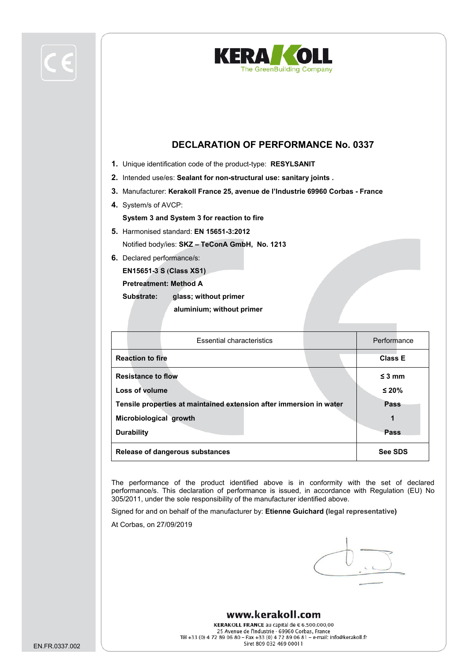



- **1.** Unique identification code of the product-type: **RESYLSANIT**
- **2.** Intended use/es: **Sealant for non-structural use: sanitary joints .**
- **3.** Manufacturer: **Kerakoll France 25, avenue de l'Industrie 69960 Corbas - France**
- **4.** System/s of AVCP:
- **System 3 and System 3 for reaction to fire**
- **5.** Harmonised standard: **EN 15651-3:2012** Notified body/ies: **SKZ – TeConA GmbH, No. 1213**
- **6.** Declared performance/s:

**EN15651-3 S (Class XS1)**

**Pretreatment: Method A** 

**Substrate: glass; without primer**

 **aluminium; without primer**

| <b>Essential characteristics</b>                                    |  | Performance    |
|---------------------------------------------------------------------|--|----------------|
| <b>Reaction to fire</b>                                             |  | <b>Class E</b> |
| <b>Resistance to flow</b>                                           |  | $\leq$ 3 mm    |
| Loss of volume                                                      |  | $\leq 20\%$    |
| Tensile properties at maintained extension after immersion in water |  | Pass           |
| Microbiological growth                                              |  | 1              |
| <b>Durability</b>                                                   |  | Pass           |
| <b>Release of dangerous substances</b>                              |  | <b>See SDS</b> |

The performance of the product identified above is in conformity with the set of declared performance/s. This declaration of performance is issued, in accordance with Regulation (EU) No 305/2011, under the sole responsibility of the manufacturer identified above.

Signed for and on behalf of the manufacturer by: **Etienne Guichard (legal representative)**

At Corbas, on 27/09/2019

#### www.kerakoll.com

KERAKOLL FRANCE au capital de € 6.500.000,00 25 Avenue de l'Industrie - 69960 Corbas, France Tél +33 (0) 4 72 89 06 80 - Fax +33 (0) 4 72 89 06 81 - e-mail: info@kerakoll.fr Siret 809 032 469 00011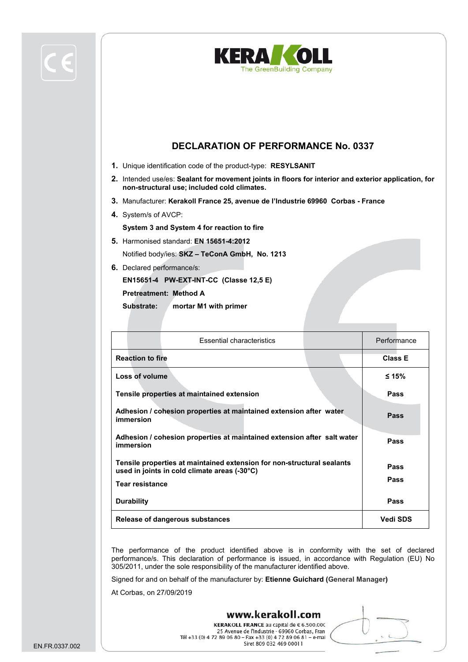



- **1.** Unique identification code of the product-type: **RESYLSANIT**
- **2.** Intended use/es: **Sealant for movement joints in floors for interior and exterior application, for non-structural use; included cold climates.**
- **3.** Manufacturer: **Kerakoll France 25, avenue de l'Industrie 69960 Corbas - France**
- **4.** System/s of AVCP:

**System 3 and System 4 for reaction to fire**

- **5.** Harmonised standard: **EN 15651-4:2012** Notified body/ies: **SKZ – TeConA GmbH, No. 1213**
- **6.** Declared performance/s:

**EN15651-4 PW-EXT-INT-CC (Classe 12,5 E)**

**Pretreatment: Method A** 

**Substrate: mortar M1 with primer**

| <b>Essential characteristics</b>                                                                                                                 | Performance     |
|--------------------------------------------------------------------------------------------------------------------------------------------------|-----------------|
| <b>Reaction to fire</b>                                                                                                                          | <b>Class E</b>  |
| Loss of volume                                                                                                                                   | ≤ 15%           |
| Tensile properties at maintained extension                                                                                                       | Pass            |
| Adhesion / cohesion properties at maintained extension after water<br>immersion                                                                  | <b>Pass</b>     |
| Adhesion / cohesion properties at maintained extension after salt water<br>immersion                                                             | Pass            |
| Tensile properties at maintained extension for non-structural sealants<br>used in joints in cold climate areas (-30°C)<br><b>Tear resistance</b> | Pass<br>Pass    |
| <b>Durability</b>                                                                                                                                | Pass            |
| Release of dangerous substances                                                                                                                  | <b>Vedi SDS</b> |

The performance of the product identified above is in conformity with the set of declared performance/s. This declaration of performance is issued, in accordance with Regulation (EU) No 305/2011, under the sole responsibility of the manufacturer identified above.

www.kerakoll.com

Signed for and on behalf of the manufacturer by: **Etienne Guichard (General Manager)**

At Corbas, on 27/09/2019

KERAKOLL FRANCE au capital de € 6.500.000 25 Avenue de l'Industrie - 69960 Corbas, Fran Tél +33 (0) 4 72 89 06 80 - Fax +33 (0) 4 72 89 06 81 - e-mai Siret 809 032 469 00011